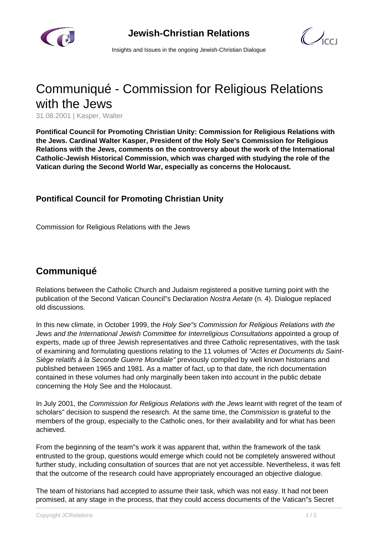

 $\mathcal{C}$ 

Insights and Issues in the ongoing Jewish-Christian Dialogue

## Communiqué - Commission for Religious Relations with the Jews

31.08.2001 | Kasper, Walter

**Pontifical Council for Promoting Christian Unity: Commission for Religious Relations with the Jews. Cardinal Walter Kasper, President of the Holy See's Commission for Religious Relations with the Jews, comments on the controversy about the work of the International Catholic-Jewish Historical Commission, which was charged with studying the role of the Vatican during the Second World War, especially as concerns the Holocaust.**

## **Pontifical Council for Promoting Christian Unity**

Commission for Religious Relations with the Jews

## **Communiqué**

Relations between the Catholic Church and Judaism registered a positive turning point with the publication of the Second Vatican Council"s Declaration Nostra Aetate (n. 4). Dialogue replaced old discussions.

In this new climate, in October 1999, the Holy See"s Commission for Religious Relations with the Jews and the International Jewish Committee for Interreligious Consultations appointed a group of experts, made up of three Jewish representatives and three Catholic representatives, with the task of examining and formulating questions relating to the 11 volumes of "Actes et Documents du Saint-Siège relatifs à la Seconde Guerre Mondiale" previously compiled by well known historians and published between 1965 and 1981. As a matter of fact, up to that date, the rich documentation contained in these volumes had only marginally been taken into account in the public debate concerning the Holy See and the Holocaust.

In July 2001, the Commission for Religious Relations with the Jews learnt with regret of the team of scholars" decision to suspend the research. At the same time, the *Commission* is grateful to the members of the group, especially to the Catholic ones, for their availability and for what has been achieved.

From the beginning of the team"s work it was apparent that, within the framework of the task entrusted to the group, questions would emerge which could not be completely answered without further study, including consultation of sources that are not yet accessible. Nevertheless, it was felt that the outcome of the research could have appropriately encouraged an objective dialogue.

The team of historians had accepted to assume their task, which was not easy. It had not been promised, at any stage in the process, that they could access documents of the Vatican"s Secret